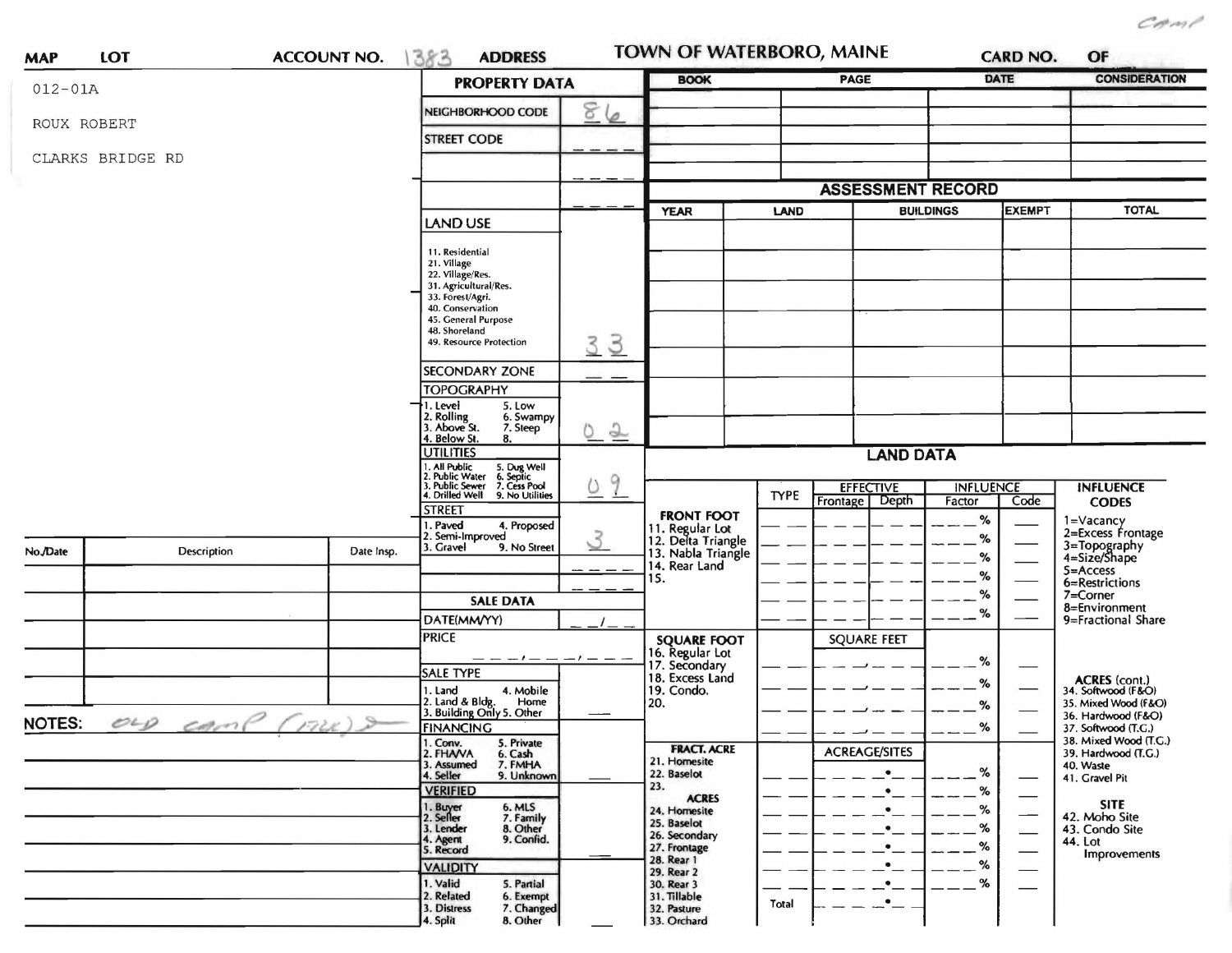$C$ PMP

| <b>MAP</b>    | LOT              | <b>ACCOUNT NO.</b> | 383<br><b>ADDRESS</b>                                                                                                                                                                  |                                | <b>TOWN OF WATERBORO, MAINE</b>                             |             |                      |             | <b>CARD NO.</b> | OF                                           |
|---------------|------------------|--------------------|----------------------------------------------------------------------------------------------------------------------------------------------------------------------------------------|--------------------------------|-------------------------------------------------------------|-------------|----------------------|-------------|-----------------|----------------------------------------------|
| $012 - 01A$   |                  |                    | <b>PROPERTY DATA</b>                                                                                                                                                                   |                                | <b>BOOK</b>                                                 | PAGE        |                      | <b>DATE</b> |                 | <b>CONSIDERATION</b>                         |
|               |                  |                    | g.<br>NEIGHBORHOOD CODE                                                                                                                                                                | 6                              |                                                             |             |                      |             |                 |                                              |
|               | ROUX ROBERT      |                    | <b>STREET CODE</b>                                                                                                                                                                     |                                |                                                             |             |                      |             |                 |                                              |
|               | CLARKS BRIDGE RD |                    |                                                                                                                                                                                        |                                |                                                             |             |                      |             |                 |                                              |
|               |                  |                    |                                                                                                                                                                                        |                                |                                                             |             |                      |             |                 |                                              |
|               |                  |                    |                                                                                                                                                                                        |                                | <b>ASSESSMENT RECORD</b><br><b>BUILDINGS</b><br>LAND        |             | <b>EXEMPT</b>        |             | <b>TOTAL</b>    |                                              |
|               |                  |                    | <b>LAND USE</b>                                                                                                                                                                        |                                | <b>YEAR</b>                                                 |             |                      |             |                 |                                              |
|               |                  |                    | 11. Residential<br>21. Village<br>22. Village/Res.<br>31. Agricultural/Res.<br>33. Forest/Agri.<br>40. Conservation<br>45. General Purpose<br>48. Shoreland<br>49. Resource Protection | 33                             |                                                             |             |                      |             |                 |                                              |
|               |                  |                    | <b>SECONDARY ZONE</b>                                                                                                                                                                  |                                |                                                             |             |                      |             |                 |                                              |
|               |                  |                    | <b>TOPOGRAPHY</b>                                                                                                                                                                      |                                |                                                             |             |                      |             |                 |                                              |
|               |                  |                    | 1. Level<br>5. Low<br>2. Rolling<br>3. Above St.<br>6. Swampy<br>7. Steep                                                                                                              | $\frac{1}{2}$                  |                                                             |             |                      |             |                 |                                              |
|               |                  |                    | 4. Below St.<br>8.<br><b>UTILITIES</b>                                                                                                                                                 |                                |                                                             |             | <b>LAND DATA</b>     |             |                 |                                              |
|               |                  |                    | 1. All Public<br>2. Public Water<br>3. Public Sewer<br>4. Drilled Well<br>5. Dug Well<br>6. Septic<br>7. Cess Pool                                                                     | 9                              | <b>INFLUENCE</b><br><b>INFLUENCE</b><br><b>EFFECTIVE</b>    |             |                      |             |                 |                                              |
|               |                  |                    | 9. No Utilities<br><b>STREET</b>                                                                                                                                                       |                                |                                                             | <b>TYPE</b> | Depth<br>Frontage    | Factor      | Code            | <b>CODES</b>                                 |
|               |                  |                    | . Paved<br>4. Proposed                                                                                                                                                                 |                                | <b>FRONT FOOT</b>                                           |             |                      | %           |                 | 1=Vacancy<br>2=Excess Frontage               |
| No./Date      | Description      | Date Insp.         | Semi-Improved<br>. Gravel<br>9. No Street                                                                                                                                              | $\mathcal{S}$<br>$\frac{1}{2}$ | 11. Regular Lot<br>12. Delta Triangle<br>13. Nabla Triangle |             |                      | %<br>%      |                 | 3=Topography<br>4=Size/Shape                 |
|               |                  |                    |                                                                                                                                                                                        |                                | 14. Rear Land<br>15.                                        |             |                      | %           |                 | $5 =$ Access                                 |
|               |                  |                    | <b>SALE DATA</b>                                                                                                                                                                       |                                |                                                             |             |                      | %           |                 | 6=Restrictions<br>7=Corner                   |
|               |                  |                    | DATE(MM/YY)                                                                                                                                                                            |                                |                                                             |             |                      | $\%$        |                 | 8=Environment<br>9=Fractional Share          |
|               |                  |                    | <b>PRICE</b>                                                                                                                                                                           |                                | <b>SQUARE FOOT</b>                                          |             | <b>SQUARE FEET</b>   |             |                 |                                              |
|               |                  |                    | — — — / —                                                                                                                                                                              |                                | 16. Regular Lot<br>17. Secondary                            |             |                      | $\%$        |                 |                                              |
|               |                  |                    | <b>SALE TYPE</b>                                                                                                                                                                       |                                | 18. Excess Land<br>19. Condo.<br>20.                        |             |                      | %           |                 | ACRES (cont.)<br>34. Softwood (F&O)          |
|               |                  |                    | 1. Land<br>4. Mobile<br>2. Land & Bldg. Home<br>3. Building Only 5. Other<br>Home                                                                                                      |                                |                                                             |             |                      | %           |                 | 35. Mixed Wood (F&O)                         |
| <b>NOTES:</b> | orp camp         | (TPLF)             | <b>FINANCING</b>                                                                                                                                                                       |                                |                                                             |             |                      | %           |                 | 36. Hardwood (F&O)<br>37. Softwood (T.C.)    |
|               |                  |                    | 5. Private<br>1. Conv.<br>2. FHAVA<br>6. Cash                                                                                                                                          |                                | <b>FRACT. ACRE</b>                                          |             | <b>ACREAGE/SITES</b> |             |                 | 38. Mixed Wood (T.G.)<br>39. Hardwood (T.G.) |
|               |                  |                    | 3. Assumed<br>7. FMHA<br>4. Seller<br>9. Unknown                                                                                                                                       |                                | 21. Homesite<br>22. Baselot                                 |             | $\bullet$            | %           |                 | 40. Waste<br>41. Gravel Pit                  |
|               |                  |                    | <b>VERIFIED</b>                                                                                                                                                                        |                                | 23.<br><b>ACRES</b>                                         |             |                      | %           |                 |                                              |
|               |                  |                    | 1. Buyer<br>6. MLS<br>2. Seller<br>7. Family                                                                                                                                           |                                | 24. Homesite                                                |             |                      | %           |                 | <b>SITE</b><br>42. Moho Site                 |
|               |                  |                    | 3. Lender<br>8. Other<br>9. Confid.                                                                                                                                                    |                                | 25. Baselot<br>26. Secondary                                |             |                      | %           |                 | 43. Condo Site                               |
|               |                  |                    | 4. Agent<br>5. Record                                                                                                                                                                  |                                | 27. Frontage<br>28. Rear 1                                  |             |                      | %           |                 | 44. Lot<br>Improvements                      |
|               |                  |                    | <b>VALIDITY</b>                                                                                                                                                                        |                                | 29. Rear 2                                                  |             |                      | %           |                 |                                              |
|               |                  |                    | 1. Valid<br>5. Partial<br>2. Related<br>6. Exempt<br>7. Changed<br>3. Distress<br>4. Split<br>8. Other                                                                                 |                                | 30. Rear 3<br>31. Tillable<br>32. Pasture<br>33. Orchard    | Total       |                      | %           |                 |                                              |